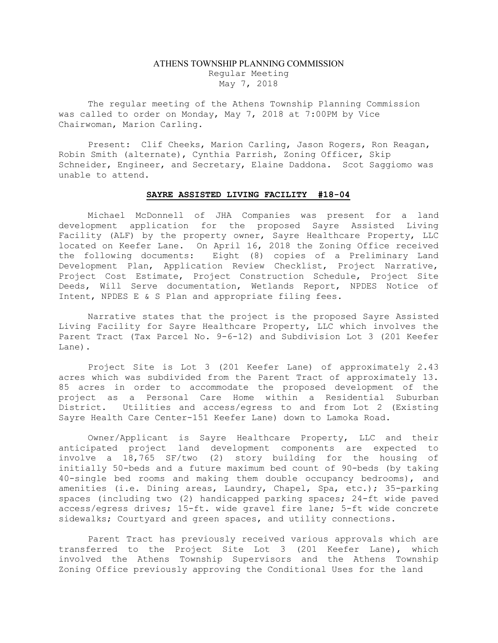## ATHENS TOWNSHIP PLANNING COMMISSION Regular Meeting May 7, 2018

The regular meeting of the Athens Township Planning Commission was called to order on Monday, May 7, 2018 at 7:00PM by Vice Chairwoman, Marion Carling.

Present: Clif Cheeks, Marion Carling, Jason Rogers, Ron Reagan, Robin Smith (alternate), Cynthia Parrish, Zoning Officer, Skip Schneider, Engineer, and Secretary, Elaine Daddona. Scot Saggiomo was unable to attend.

## SAYRE ASSISTED LIVING FACILITY #18-04

Michael McDonnell of JHA Companies was present for a land development application for the proposed Sayre Assisted Living Facility (ALF) by the property owner, Sayre Healthcare Property, LLC located on Keefer Lane. On April 16, 2018 the Zoning Office received the following documents: Eight (8) copies of a Preliminary Land Development Plan, Application Review Checklist, Project Narrative, Project Cost Estimate, Project Construction Schedule, Project Site Deeds, Will Serve documentation, Wetlands Report, NPDES Notice of Intent, NPDES E & S Plan and appropriate filing fees.

Narrative states that the project is the proposed Sayre Assisted Living Facility for Sayre Healthcare Property, LLC which involves the Parent Tract (Tax Parcel No. 9-6-12) and Subdivision Lot 3 (201 Keefer Lane).

Project Site is Lot 3 (201 Keefer Lane) of approximately 2.43 acres which was subdivided from the Parent Tract of approximately 13. 85 acres in order to accommodate the proposed development of the project as a Personal Care Home within a Residential Suburban District. Utilities and access/egress to and from Lot 2 (Existing Sayre Health Care Center-151 Keefer Lane) down to Lamoka Road.

Owner/Applicant is Sayre Healthcare Property, LLC and their anticipated project land development components are expected to involve a 18,765 SF/two (2) story building for the housing of initially 50-beds and a future maximum bed count of 90-beds (by taking 40-single bed rooms and making them double occupancy bedrooms), and amenities (i.e. Dining areas, Laundry, Chapel, Spa, etc.); 35-parking spaces (including two (2) handicapped parking spaces; 24-ft wide paved access/egress drives; 15-ft. wide gravel fire lane; 5-ft wide concrete sidewalks; Courtyard and green spaces, and utility connections.

Parent Tract has previously received various approvals which are transferred to the Project Site Lot 3 (201 Keefer Lane), which involved the Athens Township Supervisors and the Athens Township Zoning Office previously approving the Conditional Uses for the land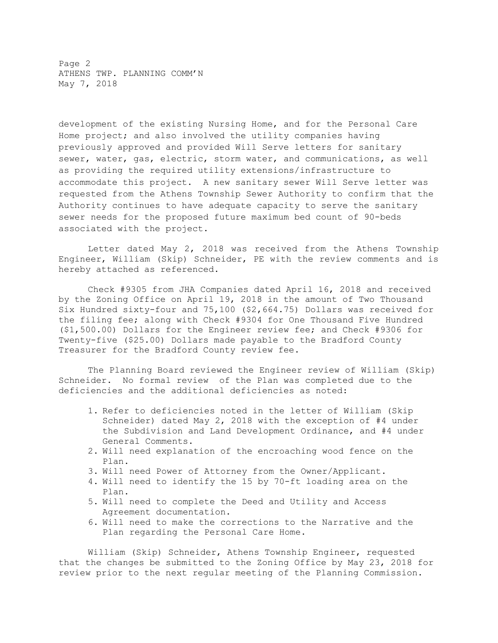Page 2 ATHENS TWP. PLANNING COMM'N May 7, 2018

development of the existing Nursing Home, and for the Personal Care Home project; and also involved the utility companies having previously approved and provided Will Serve letters for sanitary sewer, water, gas, electric, storm water, and communications, as well as providing the required utility extensions/infrastructure to accommodate this project. A new sanitary sewer Will Serve letter was requested from the Athens Township Sewer Authority to confirm that the Authority continues to have adequate capacity to serve the sanitary sewer needs for the proposed future maximum bed count of 90-beds associated with the project.

Letter dated May 2, 2018 was received from the Athens Township Engineer, William (Skip) Schneider, PE with the review comments and is hereby attached as referenced.

Check #9305 from JHA Companies dated April 16, 2018 and received by the Zoning Office on April 19, 2018 in the amount of Two Thousand Six Hundred sixty-four and 75,100 (\$2,664.75) Dollars was received for the filing fee; along with Check #9304 for One Thousand Five Hundred (\$1,500.00) Dollars for the Engineer review fee; and Check #9306 for Twenty-five (\$25.00) Dollars made payable to the Bradford County Treasurer for the Bradford County review fee.

The Planning Board reviewed the Engineer review of William (Skip) Schneider. No formal review of the Plan was completed due to the deficiencies and the additional deficiencies as noted:

- 1. Refer to deficiencies noted in the letter of William (Skip Schneider) dated May 2, 2018 with the exception of #4 under the Subdivision and Land Development Ordinance, and #4 under General Comments.
- 2. Will need explanation of the encroaching wood fence on the Plan.
- 3. Will need Power of Attorney from the Owner/Applicant.
- 4. Will need to identify the 15 by 70-ft loading area on the Plan.
- 5. Will need to complete the Deed and Utility and Access Agreement documentation.
- 6. Will need to make the corrections to the Narrative and the Plan regarding the Personal Care Home.

William (Skip) Schneider, Athens Township Engineer, requested that the changes be submitted to the Zoning Office by May 23, 2018 for review prior to the next regular meeting of the Planning Commission.